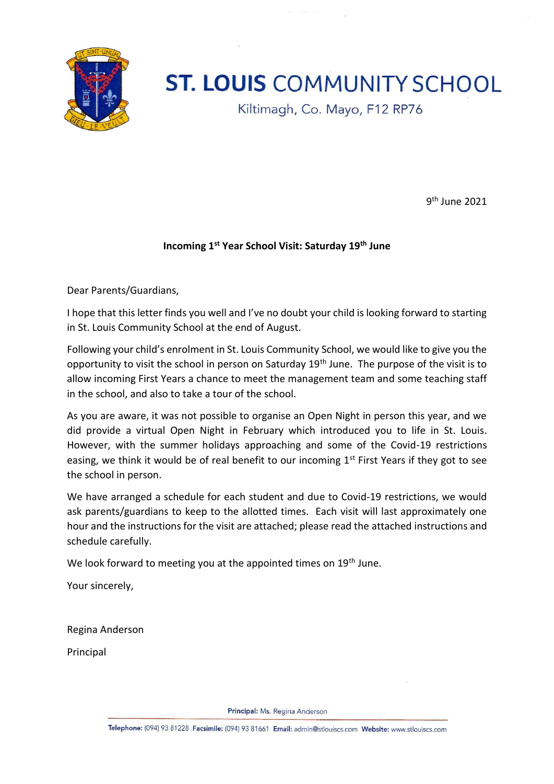

# **ST. LOUIS COMMUNITY SCHOOL**

Kiltimagh, Co. Mayo, F12 RP76

9<sup>th</sup> June 2021

#### **Incoming 1st Year School Visit: Saturday 19th June**

Dear Parents/Guardians,

I hope that this letter finds you well and I've no doubt your child is looking forward to starting in St. Louis Community School at the end of August.

Following your child's enrolment in St. Louis Community School, we would like to give you the opportunity to visit the school in person on Saturday 19<sup>th</sup> June. The purpose of the visit is to allow incoming First Years a chance to meet the management team and some teaching staff in the school, and also to take a tour of the school.

As you are aware, it was not possible to organise an Open Night in person this year, and we did provide a virtual Open Night in February which introduced you to life in St. Louis. However, with the summer holidays approaching and some of the Covid-19 restrictions easing, we think it would be of real benefit to our incoming  $1<sup>st</sup>$  First Years if they got to see the school in person.

We have arranged a schedule for each student and due to Covid-19 restrictions, we would ask parents/guardians to keep to the allotted times. Each visit will last approximately one hour and the instructions for the visit are attached; please read the attached instructions and schedule carefully.

We look forward to meeting you at the appointed times on 19<sup>th</sup> June.

Your sincerely,

Regina Anderson

Principal

Principal: Ms. Regina Anderson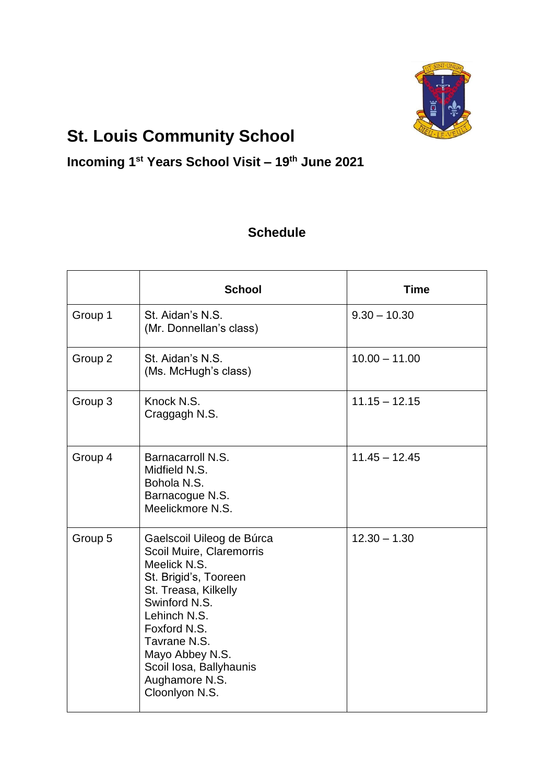

## **St. Louis Community School**

#### **Incoming 1st Years School Visit – 19th June 2021**

#### **Schedule**

|         | <b>School</b>                                                                                                                                                                                                                                                             | <b>Time</b>     |
|---------|---------------------------------------------------------------------------------------------------------------------------------------------------------------------------------------------------------------------------------------------------------------------------|-----------------|
| Group 1 | St. Aidan's N.S.<br>(Mr. Donnellan's class)                                                                                                                                                                                                                               | $9.30 - 10.30$  |
| Group 2 | St. Aidan's N.S.<br>(Ms. McHugh's class)                                                                                                                                                                                                                                  | $10.00 - 11.00$ |
| Group 3 | Knock N.S.<br>Craggagh N.S.                                                                                                                                                                                                                                               | $11.15 - 12.15$ |
| Group 4 | Barnacarroll N.S.<br>Midfield N.S.<br>Bohola N.S.<br>Barnacogue N.S.<br>Meelickmore N.S.                                                                                                                                                                                  | $11.45 - 12.45$ |
| Group 5 | Gaelscoil Uileog de Búrca<br>Scoil Muire, Claremorris<br>Meelick N.S.<br>St. Brigid's, Tooreen<br>St. Treasa, Kilkelly<br>Swinford N.S.<br>Lehinch N.S.<br>Foxford N.S.<br>Tavrane N.S.<br>Mayo Abbey N.S.<br>Scoil Iosa, Ballyhaunis<br>Aughamore N.S.<br>Cloonlyon N.S. | $12.30 - 1.30$  |